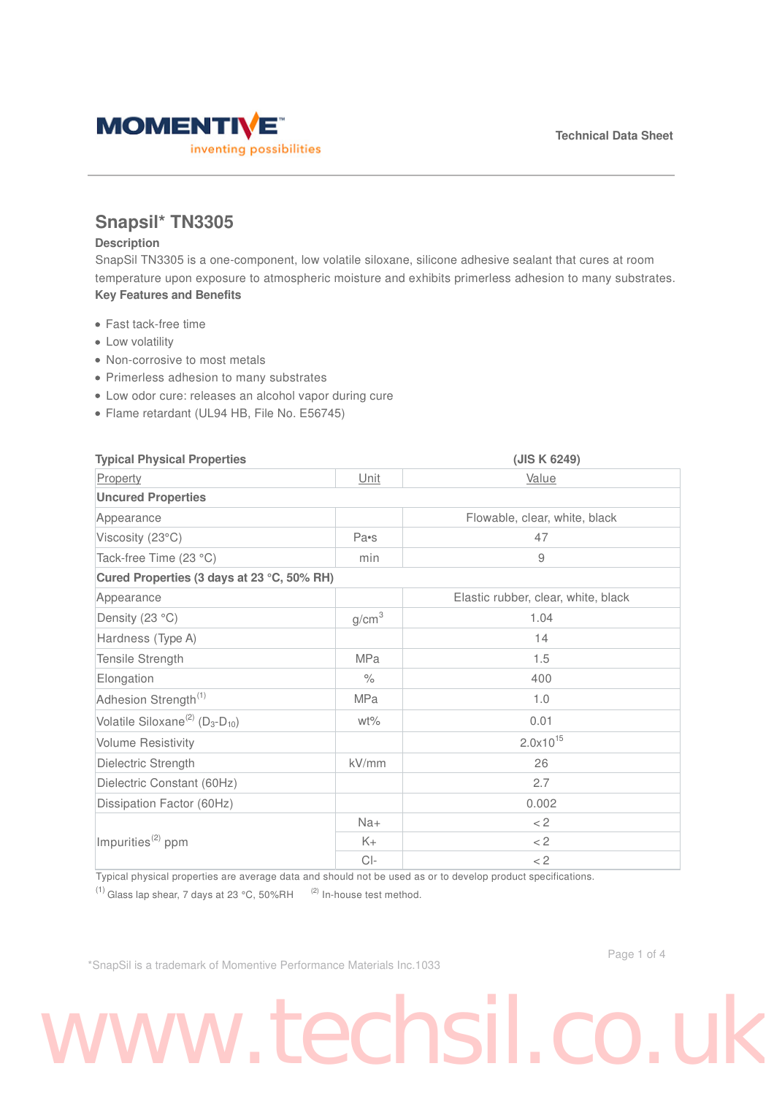

### **Snapsil\* TN3305**

### **Description**

SnapSil TN3305 is a one-component, low volatile siloxane, silicone adhesive sealant that cures at room temperature upon exposure to atmospheric moisture and exhibits primerless adhesion to many substrates. **Key Features and Benefits**

- Fast tack-free time
- Low volatility
- Non-corrosive to most metals
- Primerless adhesion to many substrates
- Low odor cure: releases an alcohol vapor during cure
- Flame retardant (UL94 HB, File No. E56745)

| <b>Typical Physical Properties</b>                                  |                   | (JIS K 6249)                        |  |
|---------------------------------------------------------------------|-------------------|-------------------------------------|--|
| Property                                                            | Unit              | Value                               |  |
| <b>Uncured Properties</b>                                           |                   |                                     |  |
| Appearance                                                          |                   | Flowable, clear, white, black       |  |
| Viscosity (23°C)                                                    | Pa•s              | 47                                  |  |
| Tack-free Time (23 °C)                                              | min               | 9                                   |  |
| Cured Properties (3 days at 23 °C, 50% RH)                          |                   |                                     |  |
| Appearance                                                          |                   | Elastic rubber, clear, white, black |  |
| Density (23 °C)                                                     | g/cm <sup>3</sup> | 1.04                                |  |
| Hardness (Type A)                                                   |                   | 14                                  |  |
| Tensile Strength                                                    | <b>MPa</b>        | 1.5                                 |  |
| Elongation                                                          | $\%$              | 400                                 |  |
| Adhesion Strength <sup>(1)</sup>                                    | <b>MPa</b>        | 1.0                                 |  |
| Volatile Siloxane <sup>(2)</sup> (D <sub>3</sub> -D <sub>10</sub> ) | $wt\%$            | 0.01                                |  |
| <b>Volume Resistivity</b>                                           |                   | $2.0x10^{15}$                       |  |
| Dielectric Strength                                                 | kV/mm             | 26                                  |  |
| Dielectric Constant (60Hz)                                          |                   | 2.7                                 |  |
| Dissipation Factor (60Hz)                                           |                   | 0.002                               |  |
| Impurities <sup>(2)</sup> ppm                                       | $Na+$             | $<$ 2                               |  |
|                                                                     | $K+$              | $<$ 2                               |  |
|                                                                     | $Cl-$             | $<$ 2                               |  |

Typical physical properties are average data and should not be used as or to develop product specifications.

<sup>(1)</sup> Glass lap shear, 7 days at 23 °C, 50%RH  $^{(2)}$  In-house test method.

\*SnapSil is a trademark of Momentive Performance Materials Inc.1033

# www.techsil.co.u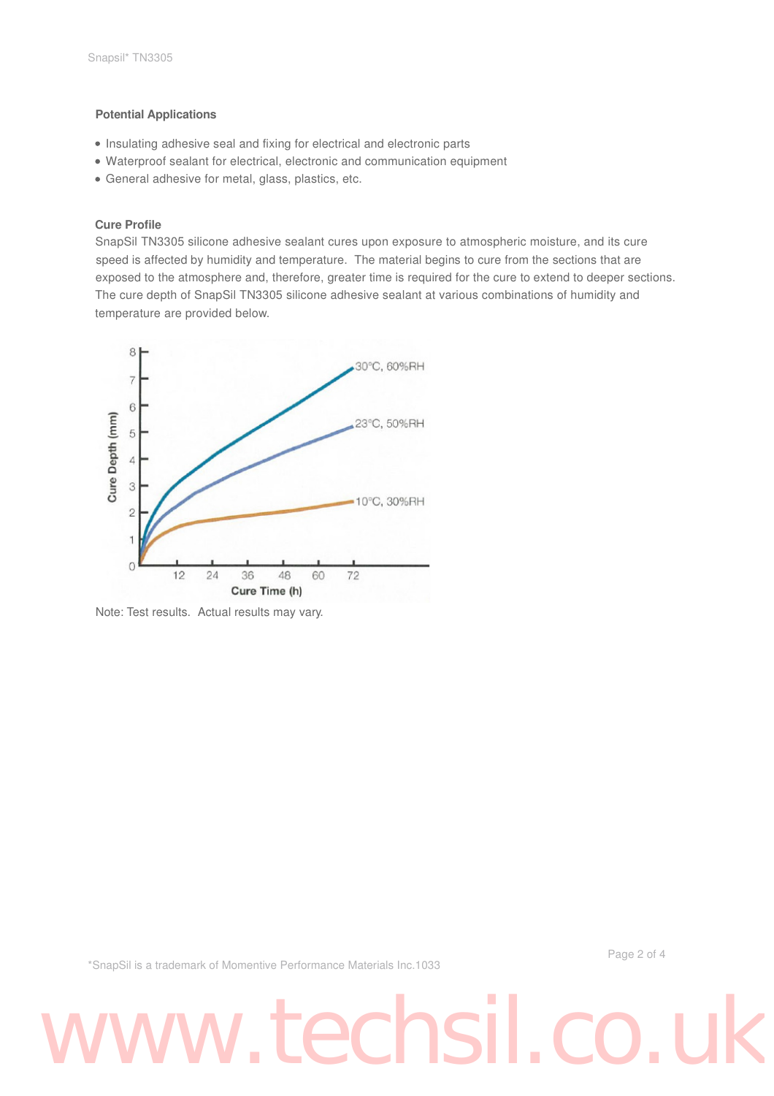### **Potential Applications**

- Insulating adhesive seal and fixing for electrical and electronic parts
- Waterproof sealant for electrical, electronic and communication equipment
- General adhesive for metal, glass, plastics, etc.

### **Cure Profile**

SnapSil TN3305 silicone adhesive sealant cures upon exposure to atmospheric moisture, and its cure speed is affected by humidity and temperature. The material begins to cure from the sections that are exposed to the atmosphere and, therefore, greater time is required for the cure to extend to deeper sections. The cure depth of SnapSil TN3305 silicone adhesive sealant at various combinations of humidity and temperature are provided below.



Note: Test results. Actual results may vary.

\*SnapSil is a trademark of Momentive Performance Materials Inc.1033

Page 2 of 4

## www.techsil.co.u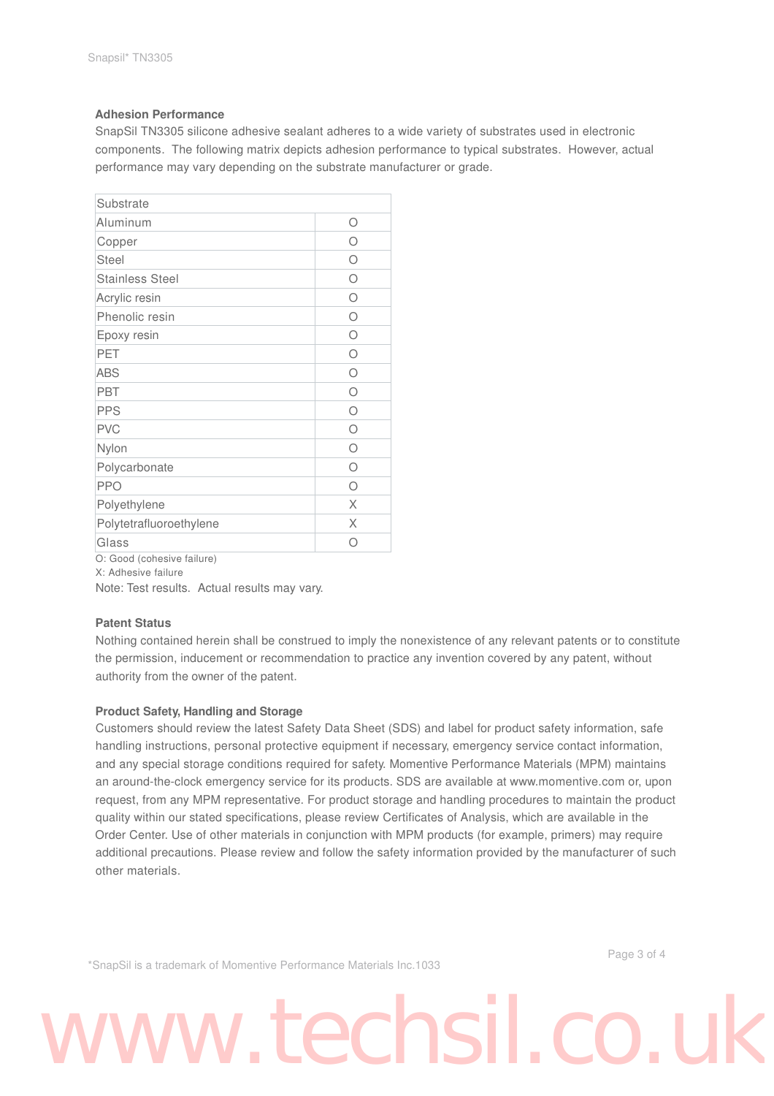### **Adhesion Performance**

SnapSil TN3305 silicone adhesive sealant adheres to a wide variety of substrates used in electronic components. The following matrix depicts adhesion performance to typical substrates. However, actual performance may vary depending on the substrate manufacturer or grade.

| Ω |
|---|
| Ω |
| Ω |
| Ω |
| Ω |
| ∩ |
| ∩ |
| Ω |
| ∩ |
| Ω |
| Ω |
| Ω |
| Ω |
| Ω |
| Ω |
| X |
| X |
| ∩ |
|   |

O: Good (cohesive failure)

X: Adhesive failure

Note: Test results. Actual results may vary.

### **Patent Status**

Nothing contained herein shall be construed to imply the nonexistence of any relevant patents or to constitute the permission, inducement or recommendation to practice any invention covered by any patent, without authority from the owner of the patent.

### **Product Safety, Handling and Storage**

Customers should review the latest Safety Data Sheet (SDS) and label for product safety information, safe handling instructions, personal protective equipment if necessary, emergency service contact information, and any special storage conditions required for safety. Momentive Performance Materials (MPM) maintains an around-the-clock emergency service for its products. SDS are available at www.momentive.com or, upon request, from any MPM representative. For product storage and handling procedures to maintain the product quality within our stated specifications, please review Certificates of Analysis, which are available in the Order Center. Use of other materials in conjunction with MPM products (for example, primers) may require additional precautions. Please review and follow the safety information provided by the manufacturer of such other materials.

\*SnapSil is a trademark of Momentive Performance Materials Inc.1033

Page 3 of 4

## www.techsil.co